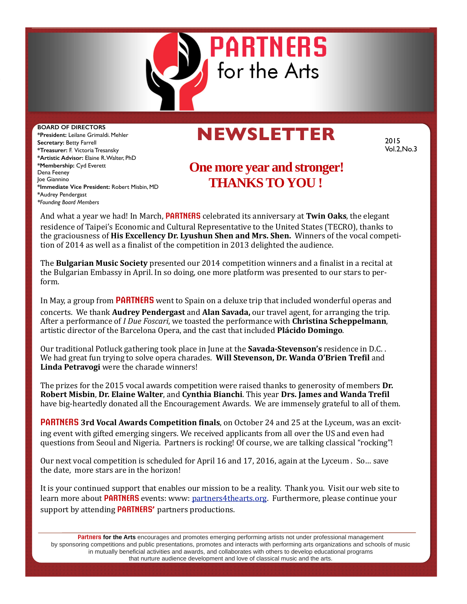

**BOARD OF DIRECTORS \*President:** Leilane Grimaldi. Mehler **Secretary:** Betty Farrell **\*Treasurer:** F. Victoria Tresansky **\*Artistic Advisor:** Elaine R. Walter, PhD **\*Membership:** Cyd Everett Dena Feeney Joe Giannino **\*Immediate Vice President:** Robert Misbin, MD **\***Audrey Pendergast *\*Founding Board Members*

# **NEWSLETTER**

2015 Vol.2,No.3

# **One more year and stronger! THANKS TO YOU !**

And what a year we had! In March, **PARTNERS** celebrated its anniversary at **Twin Oaks**, the elegant residence of Taipei's Economic and Cultural Representative to the United States (TECRO), thanks to the graciousness of **His Excellency Dr. Lyushun Shen and Mrs. Shen.** Winners of the vocal competition of 2014 as well as a finalist of the competition in 2013 delighted the audience.

The **Bulgarian Music Society** presented our 2014 competition winners and a finalist in a recital at the Bulgarian Embassy in April. In so doing, one more platform was presented to our stars to perform. 

In May, a group from **PARTNERS** went to Spain on a deluxe trip that included wonderful operas and concerts. We thank **Audrey Pendergast** and **Alan Savada**, our travel agent, for arranging the trip. After a performance of *I Due Foscari*, we toasted the performance with **Christina Scheppelmann**, artistic director of the Barcelona Opera, and the cast that included **Plácido Domingo**.

Our traditional Potluck gathering took place in June at the **Savada-Stevenson's** residence in D.C.. We had great fun trying to solve opera charades. **Will Stevenson, Dr. Wanda O'Brien Trefil** and **Linda Petravogi** were the charade winners!

The prizes for the 2015 vocal awards competition were raised thanks to generosity of members **Dr. Robert Misbin, Dr. Elaine Walter, and Cynthia Bianchi**. This year Drs. James and Wanda Trefil have big-heartedly donated all the Encouragement Awards. We are immensely grateful to all of them.

**PARTNERS** 3rd Vocal Awards Competition finals, on October 24 and 25 at the Lyceum, was an exciting event with gifted emerging singers. We received applicants from all over the US and even had questions from Seoul and Nigeria. Partners is rocking! Of course, we are talking classical "rocking"!

Our next vocal competition is scheduled for April 16 and 17, 2016, again at the Lyceum . So... save the date, more stars are in the horizon!

It is your continued support that enables our mission to be a reality. Thank you. Visit our web site to learn more about PARTNERS events: www: [partners4thearts.org](http://partners4thearts.org). Furthermore, please continue your support by attending **PARTNERS'** partners productions.

**Partners for the Arts** encourages and promotes emerging performing artists not under professional management by sponsoring competitions and public presentations, promotes and interacts with performing arts organizations and schools of music in mutually beneficial activities and awards, and collaborates with others to develop educational programs that nurture audience development and love of classical music and the arts.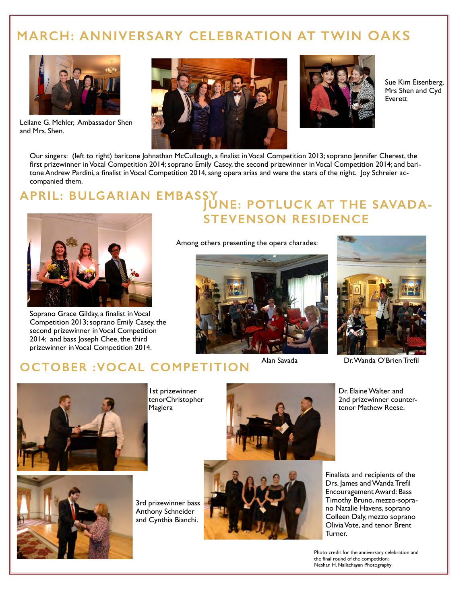# **MARCH: ANNIVERSARY CELEBRATION AT TWIN OAKS**



Leilane G. Mehler, Ambassador Shen and Mrs. Shen.





Sue Kim Eisenberg, Mrs Shen and Cyd Everett

Our singers: (left to right) baritone Johnathan McCullough, a finalist in Vocal Competition 2013; soprano Jennifer Cherest, the first prizewinner in Vocal Competition 2014; soprano Emily Casey, the second prizewinner in Vocal Competition 2014; and baritone Andrew Pardini, a finalist in Vocal Competition 2014, sang opera arias and were the stars of the night. Joy Schreier accompanied them.

#### **JUNE: POTLUCK AT THE SAVADA-APRIL: BULGARIAN EMBASSY**



Soprano Grace Gilday, a finalist in Vocal Competition 2013; soprano Emily Casey, the second prizewinner in Vocal Competition 2014; and bass Joseph Chee, the third prizewinner in Vocal Competition 2014.

# Among others presenting the opera charades:

**STEVENSON RESIDENCE** 





# Alan Savada Dr. Wanda O'Brien Trefil **OCTOBER :VOCAL COMPETITION**



1st prizewinner tenorChristopher Magiera



Dr. Elaine Walter and 2nd prizewinner countertenor Mathew Reese.



3rd prizewinner bass Anthony Schneider and Cynthia Bianchi.



Finalists and recipients of the Drs. James and Wanda Trefil Encouragement Award: Bass Timothy Bruno, mezzo-soprano Natalie Havens, soprano Colleen Daly, mezzo soprano Olivia Vote, and tenor Brent Turner.

Photo credit for the anniversary celebration and the final round of the competition: Neshan H. Nailtchayan Photography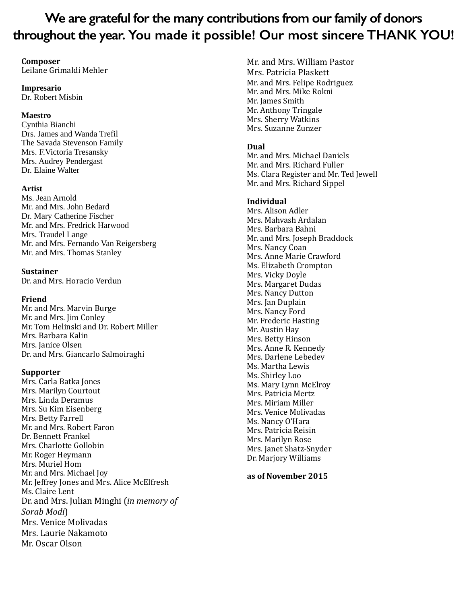# **We are grateful for the many contributions from our family of donors throughout the year. You made it possible! Our most sincere THANK YOU!**

## **Composer**

Leilane Grimaldi Mehler

### **Impresario**

Dr. Robert Misbin

#### **Maestro**

Cynthia Bianchi Drs. James and Wanda Trefil The Savada Stevenson Family Mrs. F.Victoria Tresansky Mrs. Audrey Pendergast Dr. Elaine Walter

#### **Artist**

Ms. Jean Arnold Mr. and Mrs. John Bedard Dr. Mary Catherine Fischer Mr. and Mrs. Fredrick Harwood Mrs. Traudel Lange Mr. and Mrs. Fernando Van Reigersberg Mr. and Mrs. Thomas Stanley

#### **Sustainer**

Dr. and Mrs. Horacio Verdun

#### **Friend**

Mr. and Mrs. Marvin Burge Mr. and Mrs. Jim Conley Mr. Tom Helinski and Dr. Robert Miller Mrs. Barbara Kalin Mrs. Janice Olsen Dr. and Mrs. Giancarlo Salmoiraghi

#### **Supporter**

Mrs. Carla Batka Jones Mrs. Marilyn Courtout Mrs. Linda Deramus Mrs. Su Kim Eisenberg Mrs. Betty Farrell Mr. and Mrs. Robert Faron Dr. Bennett Frankel Mrs. Charlotte Gollobin Mr. Roger Heymann Mrs. Muriel Hom Mr. and Mrs. Michael Joy Mr. Jeffrey Jones and Mrs. Alice McElfresh Ms. Claire Lent Dr. and Mrs. Julian Minghi (*in memory of Sorab Modi*) Mrs. Venice Molivadas Mrs. Laurie Nakamoto Mr. Oscar Olson

Mr. and Mrs. William Pastor Mrs. Patricia Plaskett Mr. and Mrs. Felipe Rodriguez Mr. and Mrs. Mike Rokni Mr. James Smith Mr. Anthony Tringale Mrs. Sherry Watkins Mrs. Suzanne Zunzer

#### Dual

Mr. and Mrs. Michael Daniels Mr. and Mrs. Richard Fuller Ms. Clara Register and Mr. Ted Jewell Mr. and Mrs. Richard Sippel

#### **Individual**

Mrs. Alison Adler Mrs. Mahvash Ardalan Mrs. Barbara Bahni Mr. and Mrs. Joseph Braddock Mrs. Nancy Coan Mrs. Anne Marie Crawford Ms. Elizabeth Crompton Mrs. Vicky Doyle Mrs. Margaret Dudas Mrs. Nancy Dutton Mrs. Ian Duplain Mrs. Nancy Ford Mr. Frederic Hasting Mr. Austin Hay Mrs. Betty Hinson Mrs. Anne R. Kennedy Mrs. Darlene Lebedev Ms. Martha Lewis Ms. Shirley Loo Ms. Mary Lynn McElroy Mrs. Patricia Mertz Mrs. Miriam Miller Mrs. Venice Molivadas Ms. Nancy O'Hara Mrs. Patricia Reisin Mrs. Marilyn Rose Mrs. Janet Shatz-Snyder Dr. Marjory Williams

#### **as of November 2015**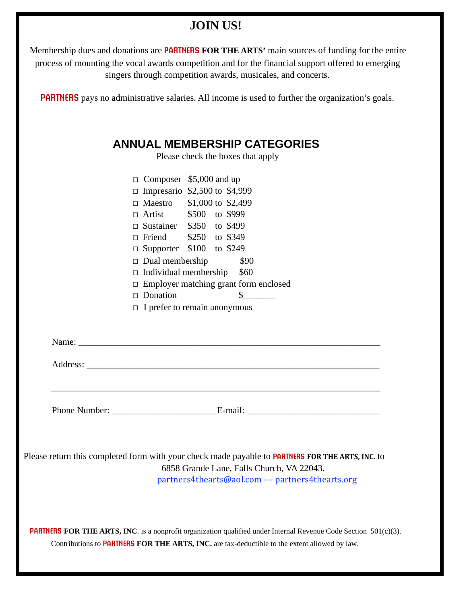## **JOIN US!**

Membership dues and donations are **PARTNERS FOR THE ARTS'** main sources of funding for the entire process of mounting the vocal awards competition and for the financial support offered to emerging singers through competition awards, musicales, and concerts.

**PARTNERS** pays no administrative salaries. All income is used to further the organization's goals.

### **ANNUAL MEMBERSHIP CATEGORIES**

Please check the boxes that apply

| $\Box$ Composer \$5,000 and up<br>$\Box$ Impresario \$2,500 to \$4,999<br>$\Box$ Maestro \$1,000 to \$2,499<br>$\Box$ Artist \$500 to \$999<br>$\Box$ Sustainer \$350 to \$499<br>$\Box$ Friend \$250 to \$349<br>$\square$ Supporter \$100 to \$249<br>$\Box$ Dual membership<br>\$90<br>$\Box$ Individual membership \$60<br>$\Box$ Employer matching grant form enclosed<br>$\Box$ Donation<br>$\frac{1}{2}$<br>$\Box$ I prefer to remain anonymous |
|--------------------------------------------------------------------------------------------------------------------------------------------------------------------------------------------------------------------------------------------------------------------------------------------------------------------------------------------------------------------------------------------------------------------------------------------------------|
| Name: Name and the state of the state of the state of the state of the state of the state of the state of the state of the state of the state of the state of the state of the state of the state of the state of the state of                                                                                                                                                                                                                         |
|                                                                                                                                                                                                                                                                                                                                                                                                                                                        |
| Phone Number: E-mail:                                                                                                                                                                                                                                                                                                                                                                                                                                  |
| Please return this completed form with your check made payable to PARTNERS FOR THE ARTS, INC. to<br>6858 Grande Lane, Falls Church, VA 22043.<br>partners4thearts@aol.com --- partners4thearts.org                                                                                                                                                                                                                                                     |
| <b>PARTNERS FOR THE ARTS, INC.</b> is a nonprofit organization qualified under Internal Revenue Code Section 501(c)(3).<br>Contributions to PARTNERS FOR THE ARTS, INC. are tax-deductible to the extent allowed by law.                                                                                                                                                                                                                               |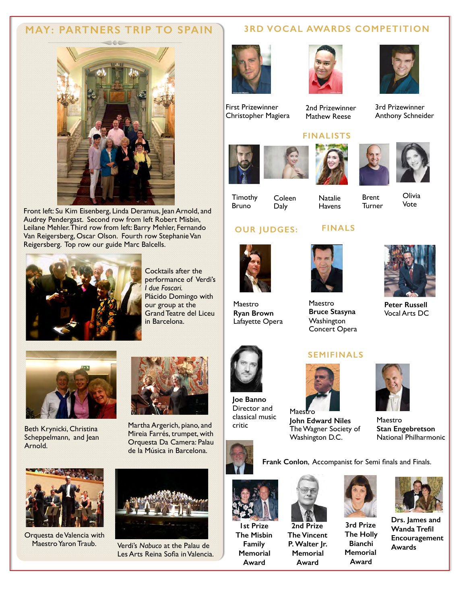### **MAY: PARTNERS TRIP TO SPAIN**

Front left: Su Kim Eisenberg, Linda Deramus, Jean Arnold, and Audrey Pendergast. Second row from left Robert Misbin, Leilane Mehler. Third row from left: Barry Mehler, Fernando Van Reigersberg, Oscar Olson. Fourth row Stephanie Van Reigersberg. Top row our guide Marc Balcells.



Cocktails after the performance of Verdi's *I due Foscari.* Plácido Domingo with our group at the Grand Teatre del Liceu in Barcelona.





**Timothy** Bruno

2nd Prizewinner Mathew Reese

Natalie **Havens** 

**FINALS**

**3RD VOCAL AWARDS COMPETITION**

#### **FINALISTS**



Coleen Daly





3rd Prizewinner Anthony Schneider



# **OUR JUDGES:**



Maestro **Bruce Stasyna Washington** Concert Opera

#### **SEMIFINALS**



The Wagner Society of Washington D.C.

**Frank Conlon**, Accompanist for Semi finals and Finals.



**Stan Engebretson**  National Philharmonic



Beth Krynicki, Christina Scheppelmann, and Jean

Arnold.

Orquesta de Valencia with Maestro Yaron Traub.



Mireia Farrés, trumpet, with Orquesta Da Camera: Palau de la Música in Barcelona.

Verdi's *Nabuco* at the Palau de Les Arts Reina Sofia in Valencia.



critic





**1st Prize The Misbin Family Memorial Award**



**2nd Prize**



**3rd Prize** 

**Bianchi** 

**Award**

**The Vincent P. Walter Jr. Memorial Award The Holly Memorial** 



**Drs. James and Wanda Trefil Encouragement Awards**











Lafayette Opera





Maes **John Edward Niles** 

**Joe Banno**  Director and classical music